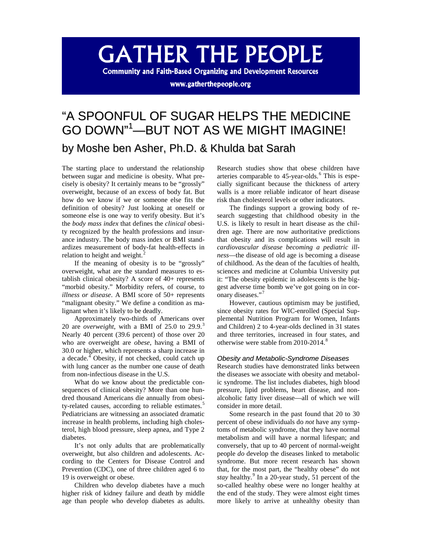# **GATHER THE PEOPLE**

**Community and Faith-Based Organizing and Development Resources** 

www.gatherthepeople.org

# "A SPOONFUL OF SUGAR HELPS THE MEDICINE GO DOWN" [1](#page-6-0) —BUT NOT AS WE MIGHT IMAGINE! by Moshe ben Asher, Ph.D. & Khulda bat Sarah

The starting place to understand the relationship between sugar and medicine is obesity. What precisely is obesity? It certainly means to be "grossly" overweight, because of an excess of body fat. But how do we know if we or someone else fits the definition of obesity? Just looking at oneself or someone else is one way to verify obesity. But it's the *body mass index* that defines the *clinical* obesity recognized by the health professions and insurance industry. The body mass index or BMI standardizes measurement of body-fat health-effects in relation to height and weight.<sup>[2](#page-6-1)</sup>

If the meaning of obesity is to be "grossly" overweight, what are the standard measures to establish clinical obesity? A score of 40+ represents "morbid obesity." Morbidity refers, of course, to *illness or disease*. A BMI score of 50+ represents "malignant obesity." We define a condition as malignant when it's likely to be deadly.

Approximately two-thirds of Americans over 20 are *overweight*, with a BMI of 25.0 to 29.9.[3](#page-6-2) Nearly 40 percent (39.6 percent) of those over 20 who are overweight are *obese*, having a BMI of 30.0 or higher, which represents a sharp increase in a decade.<sup>[4](#page-6-3)</sup> Obesity, if not checked, could catch up with lung cancer as the number one cause of death from non-infectious disease in the U.S.

What do we know about the predictable consequences of clinical obesity? More than one hundred thousand Americans die annually from obesi-ty-related causes, according to reliable estimates.<sup>[5](#page-6-4)</sup> Pediatricians are witnessing an associated dramatic increase in health problems, including high cholesterol, high blood pressure, sleep apnea, and Type 2 diabetes.

It's not only adults that are problematically overweight, but also children and adolescents. According to the Centers for Disease Control and Prevention (CDC), one of three children aged 6 to 19 is overweight or obese.

Children who develop diabetes have a much higher risk of kidney failure and death by middle age than people who develop diabetes as adults.

Research studies show that obese children have arteries comparable to  $45$ -year-olds.<sup>[6](#page-7-0)</sup> This is especially significant because the thickness of artery walls is a more reliable indicator of heart disease risk than cholesterol levels or other indicators.

The findings support a growing body of research suggesting that childhood obesity in the U.S. is likely to result in heart disease as the children age. There are now authoritative predictions that obesity and its complications will result in *cardiovascular disease becoming a pediatric illness*—the disease of old age is becoming a disease of childhood. As the dean of the faculties of health, sciences and medicine at Columbia University put it: "The obesity epidemic in adolescents is the biggest adverse time bomb we've got going on in coronary diseases."[7](#page-7-1)

However, cautious optimism may be justified, since obesity rates for WIC-enrolled (Special Supplemental Nutrition Program for Women, Infants and Children) 2 to 4-year-olds declined in 31 states and three territories, increased in four states, and otherwise were stable from 2010-2014.<sup>[8](#page-7-2)</sup>

### *Obesity and Metabolic-Syndrome Diseases*

Research studies have demonstrated links between the diseases we associate with obesity and metabolic syndrome. The list includes diabetes, high blood pressure, lipid problems, heart disease, and nonalcoholic fatty liver disease—all of which we will consider in more detail.

Some research in the past found that 20 to 30 percent of obese individuals do *not* have any symptoms of metabolic syndrome, that they have normal metabolism and will have a normal lifespan; and conversely, that up to 40 percent of normal-weight people *do* develop the diseases linked to metabolic syndrome. But more recent research has shown that, for the most part, the "healthy obese" do not *stay* healthy.<sup>[9](#page-7-3)</sup> In a 20-year study, 51 percent of the so-called healthy obese were no longer healthy at the end of the study. They were almost eight times more likely to arrive at unhealthy obesity than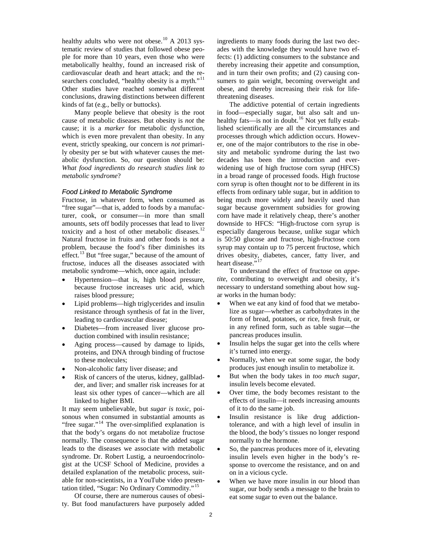healthy adults who were not obese.<sup>[10](#page-7-4)</sup> A 2013 systematic review of studies that followed obese people for more than 10 years, even those who were metabolically healthy, found an increased risk of cardiovascular death and heart attack; and the re-searchers concluded, "healthy obesity is a myth."<sup>[11](#page-7-5)</sup> Other studies have reached somewhat different conclusions, drawing distinctions between different kinds of fat (e.g., belly or buttocks).

Many people believe that obesity is the root cause of metabolic diseases. But obesity is *not* the cause; it is a *marker* for metabolic dysfunction, which is even more prevalent than obesity. In any event, strictly speaking, our concern is *not* primarily obesity per se but with whatever causes the metabolic dysfunction. So, our question should be: *What food ingredients do research studies link to metabolic syndrome*?

#### *Food Linked to Metabolic Syndrome*

Fructose, in whatever form, when consumed as "free sugar"—that is, added to foods by a manufacturer, cook, or consumer—in more than small amounts, sets off bodily processes that lead to liver toxicity and a host of other metabolic diseases.<sup>[12](#page-7-6)</sup> Natural fructose in fruits and other foods is not a problem, because the food's fiber diminishes its effect.<sup>[13](#page-7-7)</sup> But "free sugar," because of the amount of fructose, induces all the diseases associated with metabolic syndrome—which, once again, include:

- Hypertension—that is, high blood pressure, because fructose increases uric acid, which raises blood pressure;
- Lipid problems—high triglycerides and insulin resistance through synthesis of fat in the liver, leading to cardiovascular disease;
- Diabetes—from increased liver glucose production combined with insulin resistance;
- Aging process—caused by damage to lipids, proteins, and DNA through binding of fructose to these molecules;
- Non-alcoholic fatty liver disease; and
- Risk of cancers of the uterus, kidney, gallbladder, and liver; and smaller risk increases for at least six other types of cancer—which are all linked to higher BMI.

It may seem unbelievable, but *sugar is toxic*, poisonous when consumed in substantial amounts as "free sugar."<sup>[14](#page-7-8)</sup> The over-simplified explanation is that the body's organs do not metabolize fructose normally. The consequence is that the added sugar leads to the diseases we associate with metabolic syndrome. Dr. Robert Lustig, a neuroendocrinologist at the UCSF School of Medicine, provides a detailed explanation of the metabolic process, suitable for non-scientists, in a YouTube video presentation titled, "Sugar: No Ordinary Commodity."[15](#page-7-9)

Of course, there are numerous causes of obesity. But food manufacturers have purposely added ingredients to many foods during the last two decades with the knowledge they would have two effects: (1) addicting consumers to the substance and thereby increasing their appetite and consumption, and in turn their own profits; and (2) causing consumers to gain weight, becoming overweight and obese, and thereby increasing their risk for lifethreatening diseases.

The addictive potential of certain ingredients in food—especially sugar, but also salt and un-healthy fats—is not in doubt.<sup>[16](#page-7-10)</sup> Not yet fully established scientifically are all the circumstances and processes through which addiction occurs. However, one of the major contributors to the rise in obesity and metabolic syndrome during the last two decades has been the introduction and everwidening use of high fructose corn syrup (HFCS) in a broad range of processed foods. High fructose corn syrup is often thought *not* to be different in its effects from ordinary table sugar, but in addition to being much more widely and heavily used than sugar because government subsidies for growing corn have made it relatively cheap, there's another downside to HFCS: "High-fructose corn syrup is especially dangerous because, unlike sugar which is 50:50 glucose and fructose, high-fructose corn syrup may contain up to 75 percent fructose, which drives obesity, diabetes, cancer, fatty liver, and heart disease."

To understand the effect of fructose on *appetite*, contributing to overweight and obesity, it's necessary to understand something about how sugar works in the human body:

- When we eat any kind of food that we metabolize as sugar—whether as carbohydrates in the form of bread, potatoes, or rice, fresh fruit, or in any refined form, such as table sugar—the pancreas produces insulin.
- Insulin helps the sugar get into the cells where it's turned into energy.
- Normally, when we eat some sugar, the body produces just enough insulin to metabolize it.
- But when the body takes in *too much sugar*, insulin levels become elevated.
- Over time, the body becomes resistant to the effects of insulin—it needs increasing amounts of it to do the same job.
- Insulin resistance is like drug addictiontolerance, and with a high level of insulin in the blood, the body's tissues no longer respond normally to the hormone.
- So, the pancreas produces more of it, elevating insulin levels even higher in the body's response to overcome the resistance, and on and on in a vicious cycle.
- When we have more insulin in our blood than sugar, our body sends a message to the brain to eat some sugar to even out the balance.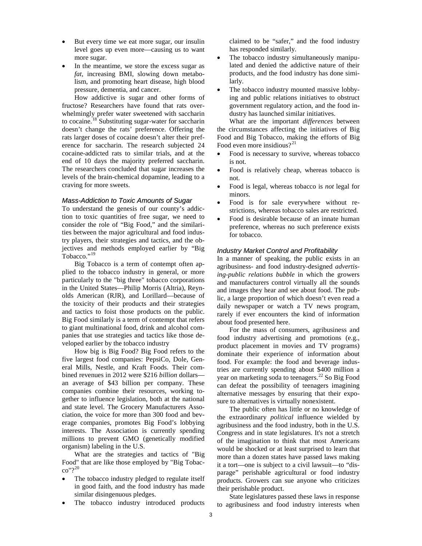- But every time we eat more sugar, our insulin level goes up even more—causing us to want more sugar.
- In the meantime, we store the excess sugar as *fat*, increasing BMI, slowing down metabolism, and promoting heart disease, high blood pressure, dementia, and cancer.

How addictive is sugar and other forms of fructose? Researchers have found that rats overwhelmingly prefer water sweetened with saccharin to cocaine.<sup>[18](#page-7-12)</sup> Substituting sugar-water for saccharin doesn't change the rats' preference. Offering the rats larger doses of cocaine doesn't alter their preference for saccharin. The research subjected 24 cocaine-addicted rats to similar trials, and at the end of 10 days the majority preferred saccharin. The researchers concluded that sugar increases the levels of the brain-chemical dopamine, leading to a craving for more sweets.

#### *Mass-Addiction to Toxic Amounts of Sugar*

To understand the genesis of our county's addiction to toxic quantities of free sugar, we need to consider the role of "Big Food," and the similarities between the major agricultural and food industry players, their strategies and tactics, and the objectives and methods employed earlier by "Big Tobacco."<sup>[19](#page-7-13)</sup>

Big Tobacco is a term of contempt often applied to the tobacco industry in general, or more particularly to the "big three" tobacco corporations in the United States—Philip Morris (Altria), Reynolds American (RJR), and Lorillard—because of the toxicity of their products and their strategies and tactics to foist those products on the public. Big Food similarly is a term of contempt that refers to giant multinational food, drink and alcohol companies that use strategies and tactics like those developed earlier by the tobacco industry

How big is Big Food? Big Food refers to the five largest food companies: PepsiCo, Dole, General Mills, Nestle, and Kraft Foods. Their combined revenues in 2012 were \$216 *billion* dollars an average of \$43 billion per company. These companies combine their resources, working together to influence legislation, both at the national and state level. The Grocery Manufacturers Association, the voice for more than 300 food and beverage companies, promotes Big Food's lobbying interests. The Association is currently spending millions to prevent GMO (genetically modified organism) labeling in the U.S.

What are the strategies and tactics of "Big Food" that are like those employed by "Big Tobacco"?[20](#page-7-14)

- The tobacco industry pledged to regulate itself in good faith, and the food industry has made similar disingenuous pledges.
- The tobacco industry introduced products

claimed to be "safer," and the food industry has responded similarly.

- The tobacco industry simultaneously manipulated and denied the addictive nature of their products, and the food industry has done similarly.
- The tobacco industry mounted massive lobbying and public relations initiatives to obstruct government regulatory action, and the food industry has launched similar initiatives.

What are the important *differences* between the circumstances affecting the initiatives of Big Food and Big Tobacco, making the efforts of Big Food even more insidious? $2^{21}$  $2^{21}$  $2^{21}$ 

- Food is necessary to survive, whereas tobacco is not.
- Food is relatively cheap, whereas tobacco is not.
- Food is legal, whereas tobacco is *not* legal for minors.
- Food is for sale everywhere without restrictions, whereas tobacco sales are restricted.
- Food is desirable because of an innate human preference, whereas no such preference exists for tobacco.

#### *Industry Market Control and Profitability*

In a manner of speaking, the public exists in an agribusiness- and food industry-designed *advertising-public relations bubble* in which the growers and manufacturers control virtually all the sounds and images they hear and see about food. The public, a large proportion of which doesn't even read a daily newspaper or watch a TV news program, rarely if ever encounters the kind of information about food presented here.

For the mass of consumers, agribusiness and food industry advertising and promotions (e.g., product placement in movies and TV programs) dominate their experience of information about food. For example: the food and beverage industries are currently spending about \$400 million a year on marketing soda to teenagers.<sup>[22](#page-7-0)</sup> So Big Food can defeat the possibility of teenagers imagining alternative messages by ensuring that their exposure to alternatives is virtually nonexistent.

The public often has little or no knowledge of the extraordinary *political* influence wielded by agribusiness and the food industry, both in the U.S. Congress and in state legislatures. It's not a stretch of the imagination to think that most Americans would be shocked or at least surprised to learn that more than a dozen states have passed laws making it a tort—one is subject to a civil lawsuit—to "disparage" perishable agricultural or food industry products. Growers can sue anyone who criticizes their perishable product.

State legislatures passed these laws in response to agribusiness and food industry interests when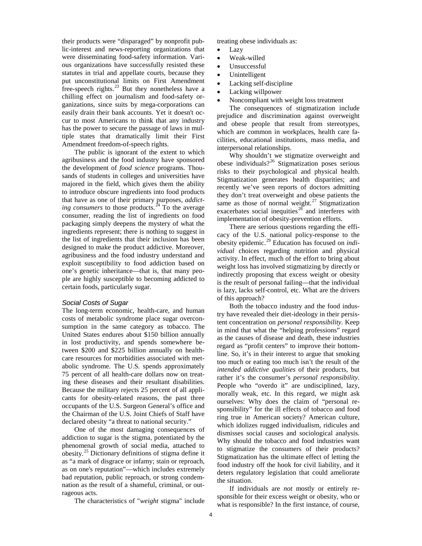their products were "disparaged" by nonprofit public-interest and news-reporting organizations that were disseminating food-safety information. Various organizations have successfully resisted these statutes in trial and appellate courts, because they put unconstitutional limits on First Amendment free-speech rights.<sup>[23](#page-7-16)</sup> But they nonetheless have a chilling effect on journalism and food-safety organizations, since suits by mega-corporations can easily drain their bank accounts. Yet it doesn't occur to most Americans to think that any industry has the power to secure the passage of laws in multiple states that dramatically limit their First Amendment freedom-of-speech rights.

The public is ignorant of the extent to which agribusiness and the food industry have sponsored the development of *food science* programs. Thousands of students in colleges and universities have majored in the field, which gives them the ability to introduce obscure ingredients into food products that have as one of their primary purposes, *addicting consumers* to those products.<sup>[24](#page-7-3)</sup> To the average consumer, reading the list of ingredients on food packaging simply deepens the mystery of what the ingredients represent; there is nothing to suggest in the list of ingredients that their inclusion has been designed to make the product addictive. Moreover, agribusiness and the food industry understand and exploit susceptibility to food addiction based on one's genetic inheritance—that is, that many people are highly susceptible to becoming addicted to certain foods, particularly sugar.

## *Social Costs of Sugar*

The long-term economic, health-care, and human costs of metabolic syndrome place sugar overconsumption in the same category as tobacco. The United States endures about \$150 billion annually in lost productivity, and spends somewhere between \$200 and \$225 billion annually on healthcare resources for morbidities associated with metabolic syndrome. The U.S. spends approximately 75 percent of all health-care dollars now on treating these diseases and their resultant disabilities. Because the military rejects 25 percent of all applicants for obesity-related reasons, the past three occupants of the U.S. Surgeon General's office and the Chairman of the U.S. Joint Chiefs of Staff have declared obesity "a threat to national security."

One of the most damaging consequences of addiction to sugar is the stigma, potentiated by the phenomenal growth of social media, attached to obesity.<sup>[25](#page-7-17)</sup> Dictionary definitions of stigma define it as "a mark of disgrace or infamy; stain or reproach, as on one's reputation"—which includes extremely bad reputation, public reproach, or strong condemnation as the result of a shameful, criminal, or outrageous acts.

The characteristics of "*weight* stigma" include

treating obese individuals as:

- Lazy
- Weak-willed
- Unsuccessful
- **Unintelligent**
- Lacking self-discipline
- Lacking willpower
- Noncompliant with weight loss treatment

The consequences of stigmatization include prejudice and discrimination against overweight and obese people that result from stereotypes, which are common in workplaces, health care facilities, educational institutions, mass media, and interpersonal relationships.

Why shouldn't we stigmatize overweight and obese individuals? $26$  Stigmatization poses serious risks to their psychological and physical health. Stigmatization generates health disparities; and recently we've seen reports of doctors admitting they don't treat overweight and obese patients the same as those of normal weight.<sup>[27](#page-7-19)</sup> Stigmatization exacerbates social inequities<sup>[28](#page-7-20)</sup> and interferes with implementation of obesity-prevention efforts.

There are serious questions regarding the efficacy of the U.S. national policy-response to the obesity epidemic.[29](#page-7-21) Education has focused on *individual* choices regarding nutrition and physical activity. In effect, much of the effort to bring about weight loss has involved stigmatizing by directly or indirectly proposing that excess weight or obesity is the result of personal failing—that the individual is lazy, lacks self-control, etc. What are the drivers of this approach?

Both the tobacco industry and the food industry have revealed their diet-ideology in their persistent concentration on *personal responsibility*. Keep in mind that what the "helping professions" regard as the causes of disease and death, these industries regard as "profit centers" to improve their bottomline. So, it's in their interest to argue that smoking too much or eating too much isn't the result of the *intended addictive qualities* of their products, but rather it's the consumer's *personal responsibility*. People who "overdo it" are undisciplined, lazy, morally weak, etc. In this regard, we might ask ourselves: Why does the claim of "personal responsibility" for the ill effects of tobacco and food ring true in American society? American culture, which idolizes rugged individualism, ridicules and dismisses social causes and sociological analysis. Why should the tobacco and food industries want to stigmatize the consumers of their products? Stigmatization has the ultimate effect of letting the food industry off the hook for civil liability, and it deters regulatory legislation that could ameliorate the situation.

If individuals are *not* mostly or entirely responsible for their excess weight or obesity, who or what is responsible? In the first instance, of course,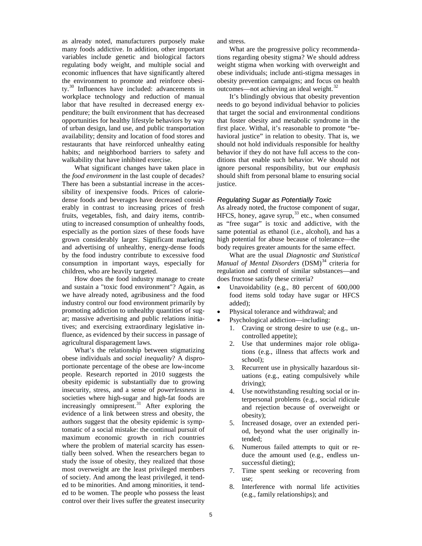as already noted, manufacturers purposely make many foods addictive. In addition, other important variables include genetic and biological factors regulating body weight, and multiple social and economic influences that have significantly altered the environment to promote and reinforce obesi-ty.<sup>[30](#page-7-22)</sup> Influences have included: advancements in workplace technology and reduction of manual labor that have resulted in decreased energy expenditure; the built environment that has decreased opportunities for healthy lifestyle behaviors by way of urban design, land use, and public transportation availability; density and location of food stores and restaurants that have reinforced unhealthy eating habits; and neighborhood barriers to safety and walkability that have inhibited exercise.

What significant changes have taken place in the *food environment* in the last couple of decades? There has been a substantial increase in the accessibility of inexpensive foods. Prices of caloriedense foods and beverages have decreased considerably in contrast to increasing prices of fresh fruits, vegetables, fish, and dairy items, contributing to increased consumption of unhealthy foods, especially as the portion sizes of these foods have grown considerably larger. Significant marketing and advertising of unhealthy, energy-dense foods by the food industry contribute to excessive food consumption in important ways, especially for children, who are heavily targeted.

How does the food industry manage to create and sustain a "toxic food environment"? Again, as we have already noted, agribusiness and the food industry control our food environment primarily by promoting addiction to unhealthy quantities of sugar; massive advertising and public relations initiatives; and exercising extraordinary legislative influence, as evidenced by their success in passage of agricultural disparagement laws.

What's the relationship between stigmatizing obese individuals and *social inequality*? A disproportionate percentage of the obese are low-income people. Research reported in 2010 suggests the obesity epidemic is substantially due to growing insecurity, stress, and a sense of *powerlessness* in societies where high-sugar and high-fat foods are increasingly omnipresent.<sup>[31](#page-7-23)</sup> After exploring the evidence of a link between stress and obesity, the authors suggest that the obesity epidemic is symptomatic of a social mistake: the continual pursuit of maximum economic growth in rich countries where the problem of material scarcity has essentially been solved. When the researchers began to study the issue of obesity, they realized that those most overweight are the least privileged members of society. And among the least privileged, it tended to be minorities. And among minorities, it tended to be women. The people who possess the least control over their lives suffer the greatest insecurity

and stress.

What are the progressive policy recommendations regarding obesity stigma? We should address weight stigma when working with overweight and obese individuals; include anti-stigma messages in obesity prevention campaigns; and focus on health outcomes—not achieving an ideal weight.<sup>[32](#page-7-24)</sup>

It's blindingly obvious that obesity prevention needs to go beyond individual behavior to policies that target the social and environmental conditions that foster obesity and metabolic syndrome in the first place. Withal, it's reasonable to promote "behavioral justice" in relation to obesity. That is, we should not hold individuals responsible for healthy behavior if they do not have full access to the conditions that enable such behavior. We should not ignore personal responsibility, but our *emphasis* should shift from personal blame to ensuring social justice.

### *Regulating Sugar as Potentially Toxic*

As already noted, the fructose component of sugar, HFCS, honey, agave syrup,  $33$  etc., when consumed as "free sugar" is toxic and addictive, with the same potential as ethanol (i.e., alcohol), and has a high potential for abuse because of tolerance—the body requires greater amounts for the same effect.

What are the usual *Diagnostic and Statistical Manual of Mental Disorders* (DSM)<sup>[34](#page-7-26)</sup> criteria for regulation and control of similar substances—and does fructose satisfy these criteria?

- Unavoidability (e.g., 80 percent of 600,000 food items sold today have sugar or HFCS added);
- Physical tolerance and withdrawal; and
- Psychological addiction—including:
	- 1. Craving or strong desire to use (e.g., uncontrolled appetite);
	- 2. Use that undermines major role obligations (e.g., illness that affects work and school);
	- 3. Recurrent use in physically hazardous situations (e.g., eating compulsively while driving);
	- 4. Use notwithstanding resulting social or interpersonal problems (e.g., social ridicule and rejection because of overweight or obesity);
	- 5. Increased dosage, over an extended period, beyond what the user originally intended;
	- 6. Numerous failed attempts to quit or reduce the amount used (e.g., endless unsuccessful dieting);
	- 7. Time spent seeking or recovering from use;
	- 8. Interference with normal life activities (e.g., family relationships); and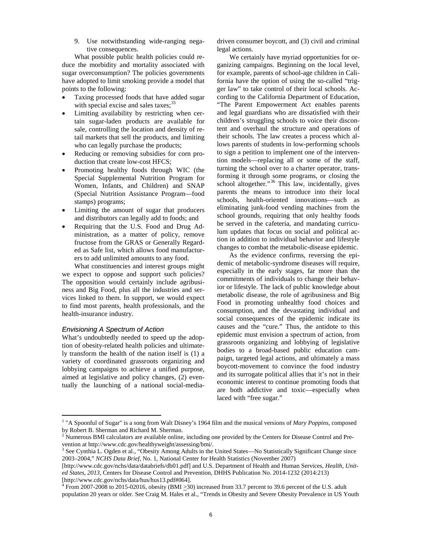9. Use notwithstanding wide-ranging negative consequences.

What possible public health policies could reduce the morbidity and mortality associated with sugar overconsumption? The policies governments have adopted to limit smoking provide a model that points to the following:

- Taxing processed foods that have added sugar with special excise and sales taxes; $35$
- Limiting availability by restricting when certain sugar-laden products are available for sale, controlling the location and density of retail markets that sell the products, and limiting who can legally purchase the products;
- Reducing or removing subsidies for corn production that create low-cost HFCS;
- Promoting healthy foods through WIC (the Special Supplemental Nutrition Program for Women, Infants, and Children) and SNAP (Special Nutrition Assistance Program—food stamps) programs;
- Limiting the amount of sugar that producers and distributors can legally add to foods; and
- Requiring that the U.S. Food and Drug Administration, as a matter of policy, remove fructose from the GRAS or Generally Regarded as Safe list, which allows food manufacturers to add unlimited amounts to any food.

What constituencies and interest groups might we expect to oppose and support such policies? The opposition would certainly include agribusiness and Big Food, plus all the industries and services linked to them. In support, we would expect to find most parents, health professionals, and the health-insurance industry.

### *Envisioning A Spectrum of Action*

What's undoubtedly needed to speed up the adoption of obesity-related health policies and ultimately transform the health of the nation itself is (1) a variety of coordinated grassroots organizing and lobbying campaigns to achieve a unified purpose, aimed at legislative and policy changes, (2) eventually the launching of a national social-mediadriven consumer boycott, and (3) civil and criminal legal actions.

We certainly have myriad opportunities for organizing campaigns. Beginning on the local level, for example, parents of school-age children in California have the option of using the so-called "trigger law" to take control of their local schools. According to the California Department of Education, "The Parent Empowerment Act enables parents and legal guardians who are dissatisfied with their children's struggling schools to voice their discontent and overhaul the structure and operations of their schools. The law creates a process which allows parents of students in low-performing schools to sign a petition to implement one of the intervention models—replacing all or some of the staff, turning the school over to a charter operator, transforming it through some programs, or closing the school altogether."<sup>[36](#page-7-28)</sup> This law, incidentally, gives parents the means to introduce into their local schools, health-oriented innovations—such as eliminating junk-food vending machines from the school grounds, requiring that only healthy foods be served in the cafeteria, and mandating curriculum updates that focus on social and political action in addition to individual behavior and lifestyle changes to combat the metabolic-disease epidemic.

As the evidence confirms, reversing the epidemic of metabolic-syndrome diseases will require, especially in the early stages, far more than the commitments of individuals to change their behavior or lifestyle. The lack of public knowledge about metabolic disease, the role of agribusiness and Big Food in promoting unhealthy food choices and consumption, and the devastating individual and social consequences of the epidemic indicate its causes and the "cure." Thus, the antidote to this epidemic must envision a spectrum of action, from grassroots organizing and lobbying of legislative bodies to a broad-based public education campaign, targeted legal actions, and ultimately a mass boycott-movement to convince the food industry and its surrogate political allies that it's not in their economic interest to continue promoting foods that are both addictive and toxic—especially when laced with "free sugar."

<sup>&</sup>lt;sup>1</sup> "A Spoonful of Sugar" is a song from Walt Disney's 1964 film and the musical versions of *Mary Poppins*, composed by Robert B. Sherman and Richard M. Sherman.

<sup>&</sup>lt;sup>2</sup> Numerous BMI calculators are available online, including one provided by the Centers for Disease Control and Prevention at http://www.cdc.gov/healthyweight/assessing/bmi/.

<sup>3</sup> See Cynthia L. Ogden et al., "Obesity Among Adults in the United States—No Statistically Significant Change since 2003–2004," *NCHS Data Brief*, No. 1, National Center for Health Statistics (November 2007)

<sup>[</sup>http://www.cdc.gov/nchs/data/databriefs/db01.pdf] and U.S. Department of Health and Human Services, *Health, United States, 2013*, Centers for Disease Control and Prevention, DHHS Publication No. 2014-1232 (2014:213) [http://www.cdc.gov/nchs/data/hus/hus13.pdf#064].

 $4 \overline{4}$  From 2007-2008 to 2015-02016, obesity (BMI  $\geq$  30) increased from 33.7 percent to 39.6 percent of the U.S. adult population 20 years or older. See Craig M. Hales et al., "Trends in Obesity and Severe Obesity Prevalence in US Youth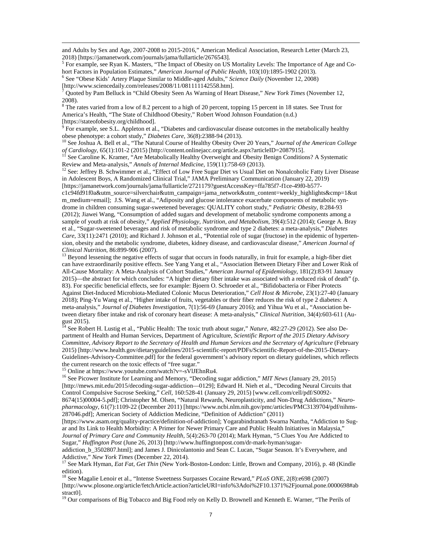and Adults by Sex and Age, 2007-2008 to 2015-2016," American Medical Association, Research Letter (March 23, 2018) [https://jamanetwork.com/journals/jama/fullarticle/2676543].

<span id="page-6-4"></span><sup>5</sup> For example, see Ryan K. Masters, "The Impact of Obesity on US Mortality Levels: The Importance of Age and Co-<br>hort Factors in Population Estimates," *American Journal of Public Health*, 103(10):1895-1902 (2013).

<sup>6</sup> See "Obese Kids' Artery Plaque Similar to Middle-aged Adults," *Science Daily* (November 12, 2008) [http://www.sciencedaily.com/releases/2008/11/081111142558.htm].

<sup>7</sup> Quoted by Pam Belluck in "Child Obesity Seen As Warning of Heart Disease," *New York Times* (November 12, 2008).

<sup>8</sup> The rates varied from a low of 8.2 percent to a high of 20 percent, topping 15 percent in 18 states. See Trust for America's Health, "The State of Childhood Obesity," Robert Wood Johnson Foundation (n.d.) [https://stateofobesity.org/childhood].

 $9$  For example, see S.L. Appleton et al., "Diabetes and cardiovascular disease outcomes in the metabolically healthy obese phenotype: a cohort study," *Diabetes Care*, 36(8):2388-94 (2013).<br><sup>10</sup> See Joshua A. Bell et al., "The Natural Course of Healthy Obesity Over 20 Years," *Journal of the American College* 

*of Cardiology*, 65(1):101-2 (2015) [http://content.onlinejacc.org/article.aspx?articleID=2087915].<br><sup>11</sup> See Caroline K. Kramer, "Are Metabolically Healthy Overweight and Obesity Benign Conditions? A Systematic Review and

<sup>12</sup> See: Jeffrey B. Schwimmer et al., "Effect of Low Free Sugar Diet vs Usual Diet on Nonalcoholic Fatty Liver Disease in Adolescent Boys, A Randomized Clinical Trial," JAMA Preliminary Communication (January 22, 2019) [https://jamanetwork.com/journals/jama/fullarticle/2721179?guestAccessKey=ffa785f7-f1ce-49f0-b577-

c1c94fd91f0a&utm\_source=silverchair&utm\_campaign=jama\_network&utm\_content=weekly\_highlights&cmp=1&ut m\_medium=email]; J.S. Wang et al., "Adiposity and glucose intolerance exacerbate components of metabolic syndrome in children consuming sugar-sweetened beverages: QUALITY cohort study," *Pediatric Obesity*, 8:284-93 (2012); Jiawei Wang, "Consumption of added sugars and development of metabolic syndrome components among a sample of youth at risk of obesity," *Applied Physiology, Nutrition, and Metabolism*, 39(4):512 (2014); George A. Bray et al., "Sugar-sweetened beverages and risk of metabolic syndrome and type 2 diabetes: a meta-analysis," *Diabetes Care*, 33(11):2471 (2010); and Richard J. Johnson et al., "Potential role of sugar (fructose) in the epidemic of hypertension, obesity and the metabolic syndrome, diabetes, kidney disease, and cardiovascular disease," *American Journal of* 

<sup>13</sup> Beyond lessening the negative effects of sugar that occurs in foods naturally, in fruit for example, a high-fiber diet can have extraordinarily positive effects. See Yang Yang et al., "Association Between Dietary Fiber and Lower Risk of All-Cause Mortality: A Meta-Analysis of Cohort Studies," *American Journal of Epidemiology*, 181(2):83-91 January 2015)—the abstract for which concludes: "A higher dietary fiber intake was associated with a reduced risk of death" (p. 83). For specific beneficial effects, see for example: Bjoern O. Schroeder et al., "Bifidobacteria or Fiber Protects Against Diet-Induced Microbiota-Mediated Colonic Mucus Deterioration," *Cell Host & Microbe*, 23(1):27-40 (January 2018); Ping-Yu Wang et al., "Higher intake of fruits, vegetables or their fiber reduces the risk of type 2 diabetes: A meta-analysis," *Journal of Diabetes Investigation*, 7(1):56-69 (January 2016); and Yihua Wu et al., "Association between dietary fiber intake and risk of coronary heart disease: A meta-analysis," *Clinical Nutrition*, 34(4):603-611 (August 2015).

<sup>14</sup> See Robert H. Lustig et al., "Public Health: The toxic truth about sugar," *Nature*, 482:27-29 (2012). See also Department of Health and Human Services, Department of Agriculture, *Scientific Report of the 2015 Dietary Advisory Committee, Advisory Report to the Secretary of Health and Human Services and the Secretary of Agriculture* (February 2015) [http://www.health.gov/dietaryguidelines/2015-scientific-report/PDFs/Scientific-Report-of-the-2015-Dietary-Guidelines-Advisory-Committee.pdf] for the federal government's advisory report on dietary guidelines, which reflects the current research on the toxic effects of "free sugar."

<sup>15</sup> Online at https://www.youtube.com/watch?v=-sVIJEhnRu4.<br><sup>16</sup> See Picower Institute for Learning and Memory, "Decoding sugar addiction," *MIT News* (January 29, 2015) [http://mews.mit.edu/2015/decoding-sugar-addiction—0129]; Edward H. Nieh et al., "Decoding Neural Circuits that Control Compulsive Sucrose Seeking," *Cell*, 160:528-41 (January 29, 2015) [www.cell.com/cell/pdf/S0092- 8674(15)00004-5.pdf]; Christopher M. Olsen, "Natural Rewards, Neuroplasticity, and Non-Drug Addictions," *Neuropharmacology*, 61(7):1109-22 (December 2011) [https://www.ncbi.nlm.nih.gov/pmc/articles/PMC3139704/pdf/nihms-287046.pdf]; American Society of Addiction Medicine, "Definition of Addiction" (2011)

<span id="page-6-0"></span>[https://www.asam.org/quality-practice/definition-of-addiction]; Yogarabindranath Swarna Nantha, "Addiction to Sugar and Its Link to Health Morbidity: A Primer for Newer Primary Care and Public Health Initiatives in Malaysia," *Journal of Primary Care and Community Health*, 5(4):263-70 (2014); Mark Hyman, "5 Clues You Are Addicted to Sugar," *Huffington Post* (June 26, 2013) [http://www.huffingtonpost.com/dr-mark-hyman/sugar-

<span id="page-6-2"></span><span id="page-6-1"></span>addiction\_b\_3502807.html]; and James J. Dinicolantonio and Sean C. Lucan, "Sugar Season. It's Everywhere, and Addictive," New York Times (December 22, 2014).

See Mark Hyman, *Eat Fat, Get Thin* (New York-Boston-London: Little, Brown and Company, 2016), p. 48 (Kindle edition).

<span id="page-6-3"></span><sup>18</sup> See Magalie Lenoir et al., "Intense Sweetness Surpasses Cocaine Reward," *PLoS ONE*, 2(8):e698 (2007) [http://www.plosone.org/article/fetchArticle.action?articleURI=info%3Adoi%2F10.1371%2Fjournal.pone.0000698#ab stract0].

<sup>19</sup> Our comparisons of Big Tobacco and Big Food rely on Kelly D. Brownell and Kenneth E. Warner, "The Perils of